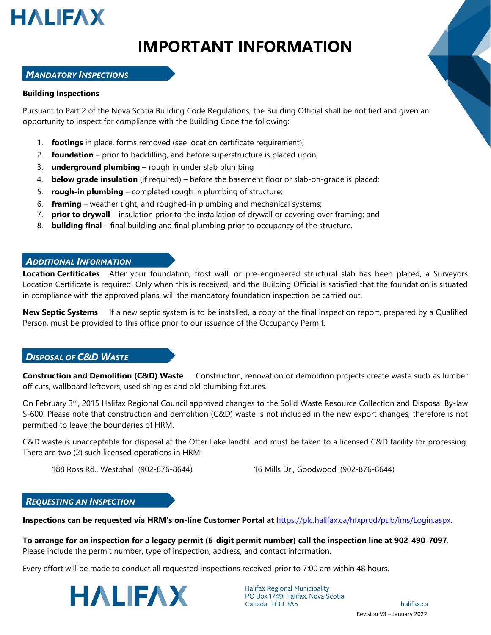

# **IMPORTANT INFORMATION**

### *MANDATORY INSPECTIONS*

#### **Building Inspections**

Pursuant to Part 2 of the Nova Scotia Building Code Regulations, the Building Official shall be notified and given an opportunity to inspect for compliance with the Building Code the following:

- 1. **footings** in place, forms removed (see location certificate requirement);
- 2. **foundation** prior to backfilling, and before superstructure is placed upon;
- 3. **underground plumbing** rough in under slab plumbing
- 4. **below grade insulation** (if required) before the basement floor or slab-on-grade is placed;
- 5. **rough-in plumbing** completed rough in plumbing of structure;
- 6. **framing**  weather tight, and roughed-in plumbing and mechanical systems;
- 7. **prior to drywall**  insulation prior to the installation of drywall or covering over framing; and
- 8. **building final** final building and final plumbing prior to occupancy of the structure.

### *ADDITIONAL INFORMATION*

**Location Certificates** After your foundation, frost wall, or pre-engineered structural slab has been placed, a Surveyors Location Certificate is required. Only when this is received, and the Building Official is satisfied that the foundation is situated in compliance with the approved plans, will the mandatory foundation inspection be carried out.

**New Septic Systems** If a new septic system is to be installed, a copy of the final inspection report, prepared by a Qualified Person, must be provided to this office prior to our issuance of the Occupancy Permit.

### *DISPOSAL OF C&D WASTE*

**Construction and Demolition (C&D) Waste** Construction, renovation or demolition projects create waste such as lumber off cuts, wallboard leftovers, used shingles and old plumbing fixtures.

On February 3rd, 2015 Halifax Regional Council approved changes to the Solid Waste Resource Collection and Disposal By-law S-600. Please note that construction and demolition (C&D) waste is not included in the new export changes, therefore is not permitted to leave the boundaries of HRM.

C&D waste is unacceptable for disposal at the Otter Lake landfill and must be taken to a licensed C&D facility for processing. There are two (2) such licensed operations in HRM:

188 Ross Rd., Westphal (902-876-8644) 16 Mills Dr., Goodwood (902-876-8644)

### *REQUESTING AN INSPECTION*

**Inspections can be requested via HRM's on-line Customer Portal at** [https://plc.halifax.ca/hfxprod/pub/lms/Login.aspx.](https://plc.halifax.ca/hfxprod/pub/lms/Login.aspx)

**To arrange for an inspection for a legacy permit (6-digit permit number) call the inspection line at 902-490-7097**. Please include the permit number, type of inspection, address, and contact information.

Every effort will be made to conduct all requested inspections received prior to 7:00 am within 48 hours.



**Halifax Regional Municipality** PO Box 1749, Halifax, Nova Scotia Canada B3J 3A5